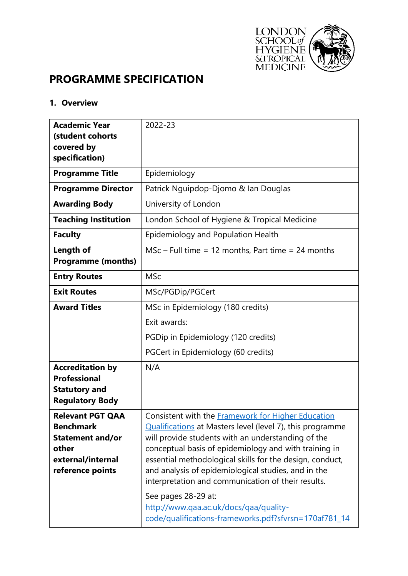

# **PROGRAMME SPECIFICATION**

## **1. Overview**

| <b>Academic Year</b><br>(student cohorts       | 2022-23                                                                                                   |  |  |
|------------------------------------------------|-----------------------------------------------------------------------------------------------------------|--|--|
| covered by                                     |                                                                                                           |  |  |
| specification)                                 |                                                                                                           |  |  |
| <b>Programme Title</b>                         | Epidemiology                                                                                              |  |  |
| <b>Programme Director</b>                      | Patrick Nguipdop-Djomo & Ian Douglas                                                                      |  |  |
| <b>Awarding Body</b>                           | University of London                                                                                      |  |  |
| <b>Teaching Institution</b>                    | London School of Hygiene & Tropical Medicine                                                              |  |  |
| <b>Faculty</b>                                 | Epidemiology and Population Health                                                                        |  |  |
| <b>Length of</b>                               | $MSc$ – Full time = 12 months, Part time = 24 months                                                      |  |  |
| <b>Programme (months)</b>                      |                                                                                                           |  |  |
| <b>Entry Routes</b>                            | <b>MSc</b>                                                                                                |  |  |
| <b>Exit Routes</b>                             | MSc/PGDip/PGCert                                                                                          |  |  |
| <b>Award Titles</b>                            | MSc in Epidemiology (180 credits)                                                                         |  |  |
|                                                | Exit awards:                                                                                              |  |  |
|                                                | PGDip in Epidemiology (120 credits)                                                                       |  |  |
|                                                | PGCert in Epidemiology (60 credits)                                                                       |  |  |
| <b>Accreditation by</b>                        | N/A                                                                                                       |  |  |
| <b>Professional</b>                            |                                                                                                           |  |  |
| <b>Statutory and</b><br><b>Regulatory Body</b> |                                                                                                           |  |  |
| <b>Relevant PGT QAA</b>                        | Consistent with the <b>Framework for Higher Education</b>                                                 |  |  |
| <b>Benchmark</b>                               | <b>Qualifications at Masters level (level 7), this programme</b>                                          |  |  |
| <b>Statement and/or</b>                        | will provide students with an understanding of the                                                        |  |  |
| other                                          | conceptual basis of epidemiology and with training in                                                     |  |  |
| external/internal                              | essential methodological skills for the design, conduct,                                                  |  |  |
| reference points                               | and analysis of epidemiological studies, and in the<br>interpretation and communication of their results. |  |  |
|                                                |                                                                                                           |  |  |
|                                                | See pages 28-29 at:<br>http://www.qaa.ac.uk/docs/qaa/quality-                                             |  |  |
|                                                | code/qualifications-frameworks.pdf?sfvrsn=170af781_14                                                     |  |  |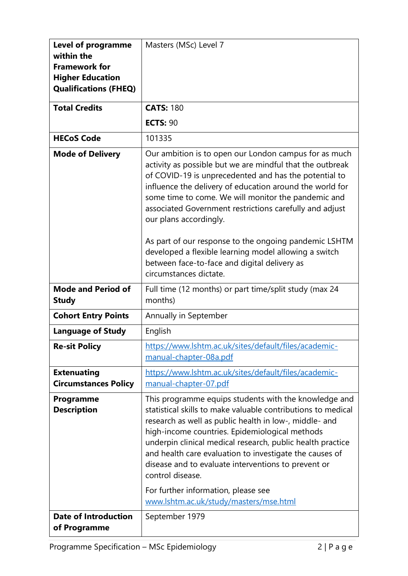| <b>Level of programme</b><br>within the<br><b>Framework for</b><br><b>Higher Education</b><br><b>Qualifications (FHEQ)</b> | Masters (MSc) Level 7                                                                                                                                                                                                                                                                                                                                                                                                                                                        |  |  |
|----------------------------------------------------------------------------------------------------------------------------|------------------------------------------------------------------------------------------------------------------------------------------------------------------------------------------------------------------------------------------------------------------------------------------------------------------------------------------------------------------------------------------------------------------------------------------------------------------------------|--|--|
| <b>Total Credits</b>                                                                                                       | <b>CATS: 180</b>                                                                                                                                                                                                                                                                                                                                                                                                                                                             |  |  |
|                                                                                                                            | <b>ECTS: 90</b>                                                                                                                                                                                                                                                                                                                                                                                                                                                              |  |  |
| <b>HECoS Code</b>                                                                                                          | 101335                                                                                                                                                                                                                                                                                                                                                                                                                                                                       |  |  |
| <b>Mode of Delivery</b>                                                                                                    | Our ambition is to open our London campus for as much<br>activity as possible but we are mindful that the outbreak<br>of COVID-19 is unprecedented and has the potential to<br>influence the delivery of education around the world for<br>some time to come. We will monitor the pandemic and<br>associated Government restrictions carefully and adjust<br>our plans accordingly.                                                                                          |  |  |
|                                                                                                                            | As part of our response to the ongoing pandemic LSHTM<br>developed a flexible learning model allowing a switch<br>between face-to-face and digital delivery as<br>circumstances dictate.                                                                                                                                                                                                                                                                                     |  |  |
| <b>Mode and Period of</b><br><b>Study</b>                                                                                  | Full time (12 months) or part time/split study (max 24<br>months)                                                                                                                                                                                                                                                                                                                                                                                                            |  |  |
| <b>Cohort Entry Points</b>                                                                                                 | Annually in September                                                                                                                                                                                                                                                                                                                                                                                                                                                        |  |  |
| <b>Language of Study</b>                                                                                                   | English                                                                                                                                                                                                                                                                                                                                                                                                                                                                      |  |  |
| <b>Re-sit Policy</b>                                                                                                       | https://www.lshtm.ac.uk/sites/default/files/academic-<br>manual-chapter-08a.pdf                                                                                                                                                                                                                                                                                                                                                                                              |  |  |
| <b>Extenuating</b><br><b>Circumstances Policy</b>                                                                          | https://www.lshtm.ac.uk/sites/default/files/academic-<br>manual-chapter-07.pdf                                                                                                                                                                                                                                                                                                                                                                                               |  |  |
| Programme<br><b>Description</b>                                                                                            | This programme equips students with the knowledge and<br>statistical skills to make valuable contributions to medical<br>research as well as public health in low-, middle- and<br>high-income countries. Epidemiological methods<br>underpin clinical medical research, public health practice<br>and health care evaluation to investigate the causes of<br>disease and to evaluate interventions to prevent or<br>control disease.<br>For further information, please see |  |  |
|                                                                                                                            | www.lshtm.ac.uk/study/masters/mse.html                                                                                                                                                                                                                                                                                                                                                                                                                                       |  |  |
| <b>Date of Introduction</b><br>of Programme                                                                                | September 1979                                                                                                                                                                                                                                                                                                                                                                                                                                                               |  |  |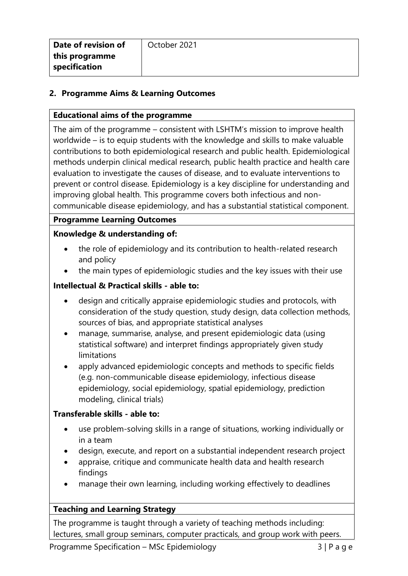# **2. Programme Aims & Learning Outcomes**

#### **Educational aims of the programme**

The aim of the programme – consistent with LSHTM's mission to improve health worldwide – is to equip students with the knowledge and skills to make valuable contributions to both epidemiological research and public health. Epidemiological methods underpin clinical medical research, public health practice and health care evaluation to investigate the causes of disease, and to evaluate interventions to prevent or control disease. Epidemiology is a key discipline for understanding and improving global health. This programme covers both infectious and noncommunicable disease epidemiology, and has a substantial statistical component.

## **Programme Learning Outcomes**

## **Knowledge & understanding of:**

- the role of epidemiology and its contribution to health-related research and policy
- the main types of epidemiologic studies and the key issues with their use

## **Intellectual & Practical skills - able to:**

- design and critically appraise epidemiologic studies and protocols, with consideration of the study question, study design, data collection methods, sources of bias, and appropriate statistical analyses
- manage, summarise, analyse, and present epidemiologic data (using statistical software) and interpret findings appropriately given study limitations
- apply advanced epidemiologic concepts and methods to specific fields (e.g. non-communicable disease epidemiology, infectious disease epidemiology, social epidemiology, spatial epidemiology, prediction modeling, clinical trials)

## **Transferable skills - able to:**

- use problem-solving skills in a range of situations, working individually or in a team
- design, execute, and report on a substantial independent research project
- appraise, critique and communicate health data and health research findings
- manage their own learning, including working effectively to deadlines

## **Teaching and Learning Strategy**

The programme is taught through a variety of teaching methods including: lectures, small group seminars, computer practicals, and group work with peers.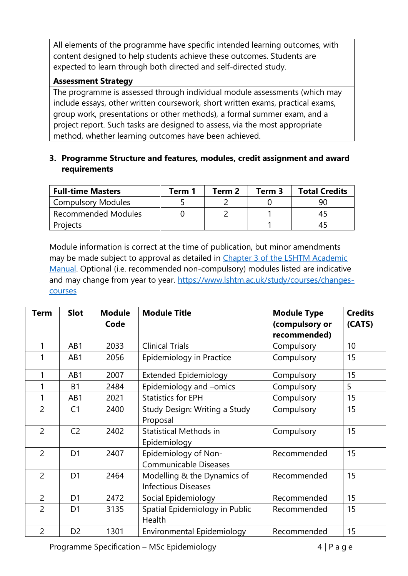All elements of the programme have specific intended learning outcomes, with content designed to help students achieve these outcomes. Students are expected to learn through both directed and self-directed study.

#### **Assessment Strategy**

The programme is assessed through individual module assessments (which may include essays, other written coursework, short written exams, practical exams, group work, presentations or other methods), a formal summer exam, and a project report. Such tasks are designed to assess, via the most appropriate method, whether learning outcomes have been achieved.

## **3. Programme Structure and features, modules, credit assignment and award requirements**

| <b>Full-time Masters</b>   | Term | Term 2 | Term 3 | <b>Total Credits</b> |
|----------------------------|------|--------|--------|----------------------|
| <b>Compulsory Modules</b>  |      |        |        | 90                   |
| <b>Recommended Modules</b> |      |        |        |                      |
| Projects                   |      |        |        |                      |

Module information is correct at the time of publication, but minor amendments may be made subject to approval as detailed in [Chapter 3 of the LSHTM Academic](https://www.lshtm.ac.uk/sites/default/files/academic-manual-chapter-03.pdf)  [Manual.](https://www.lshtm.ac.uk/sites/default/files/academic-manual-chapter-03.pdf) Optional (i.e. recommended non-compulsory) modules listed are indicative and may change from year to year. [https://www.lshtm.ac.uk/study/courses/changes](https://www.lshtm.ac.uk/study/courses/changes-courses)[courses](https://www.lshtm.ac.uk/study/courses/changes-courses)

| <b>Term</b>    | <b>Slot</b>    | <b>Module</b><br>Code | <b>Module Title</b>            | <b>Module Type</b><br>(compulsory or | <b>Credits</b><br>(CATS) |
|----------------|----------------|-----------------------|--------------------------------|--------------------------------------|--------------------------|
|                |                |                       |                                | recommended)                         |                          |
| 1              | AB1            | 2033                  | <b>Clinical Trials</b>         | Compulsory                           | 10                       |
| 1              | AB1            | 2056                  | Epidemiology in Practice       | Compulsory                           | 15                       |
| 1              | AB1            | 2007                  | <b>Extended Epidemiology</b>   | Compulsory                           | 15                       |
|                | <b>B1</b>      | 2484                  | Epidemiology and -omics        | Compulsory                           | 5                        |
| 1              | AB1            | 2021                  | <b>Statistics for EPH</b>      | Compulsory                           | 15                       |
| $\overline{2}$ | C <sub>1</sub> | 2400                  | Study Design: Writing a Study  | Compulsory                           | 15                       |
|                |                |                       | Proposal                       |                                      |                          |
| $\overline{2}$ | C <sub>2</sub> | 2402                  | <b>Statistical Methods in</b>  | Compulsory                           | 15                       |
|                |                |                       | Epidemiology                   |                                      |                          |
| $\overline{2}$ | D <sub>1</sub> | 2407                  | Epidemiology of Non-           | Recommended                          | 15                       |
|                |                |                       | Communicable Diseases          |                                      |                          |
| $\overline{2}$ | D <sub>1</sub> | 2464                  | Modelling & the Dynamics of    | Recommended                          | 15                       |
|                |                |                       | <b>Infectious Diseases</b>     |                                      |                          |
| $\overline{2}$ | D <sub>1</sub> | 2472                  | Social Epidemiology            | Recommended                          | 15                       |
| $\overline{2}$ | D <sub>1</sub> | 3135                  | Spatial Epidemiology in Public | Recommended                          | 15                       |
|                |                |                       | Health                         |                                      |                          |
| $\overline{2}$ | D <sub>2</sub> | 1301                  | Environmental Epidemiology     | Recommended                          | 15                       |

Programme Specification – MSc Epidemiology and a series of the 4 | P a g e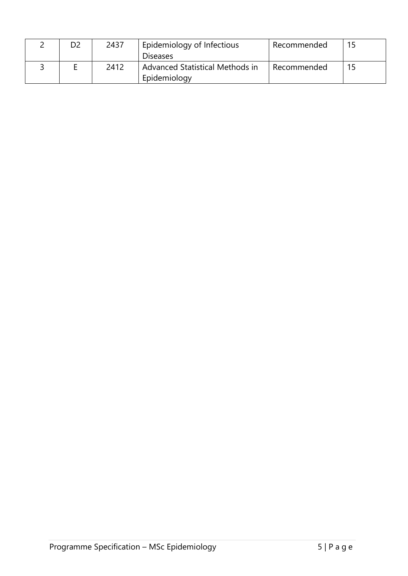| D2 | 2437 | Epidemiology of Infectious<br><b>Diseases</b>   | Recommended | 15 |
|----|------|-------------------------------------------------|-------------|----|
|    | 2412 | Advanced Statistical Methods in<br>Epidemiology | Recommended | 15 |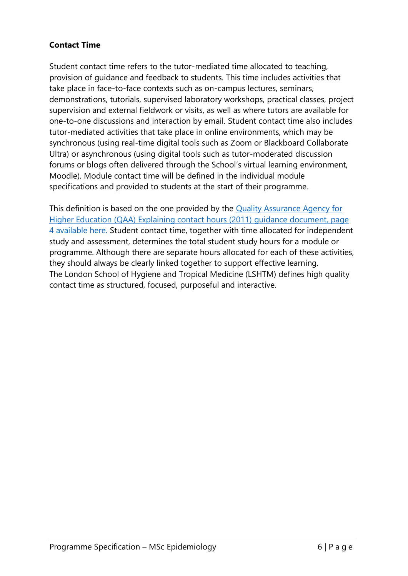# **Contact Time**

Student contact time refers to the tutor-mediated time allocated to teaching, provision of guidance and feedback to students. This time includes activities that take place in face-to-face contexts such as on-campus lectures, seminars, demonstrations, tutorials, supervised laboratory workshops, practical classes, project supervision and external fieldwork or visits, as well as where tutors are available for one-to-one discussions and interaction by email. Student contact time also includes tutor-mediated activities that take place in online environments, which may be synchronous (using real-time digital tools such as Zoom or Blackboard Collaborate Ultra) or asynchronous (using digital tools such as tutor-moderated discussion forums or blogs often delivered through the School's virtual learning environment, Moodle). Module contact time will be defined in the individual module specifications and provided to students at the start of their programme.

This definition is based on the one provided by the [Quality Assurance Agency for](https://www.qaa.ac.uk/docs/qaa/quality-code/contact-hours-guidance.pdf)  [Higher Education \(QAA\) Explaining contact hours \(2011\)](https://www.qaa.ac.uk/docs/qaa/quality-code/contact-hours-guidance.pdf) guidance document, page [4 available here.](https://www.qaa.ac.uk/docs/qaa/quality-code/contact-hours-guidance.pdf) Student contact time, together with time allocated for independent study and assessment, determines the total student study hours for a module or programme. Although there are separate hours allocated for each of these activities, they should always be clearly linked together to support effective learning. The London School of Hygiene and Tropical Medicine (LSHTM) defines high quality contact time as structured, focused, purposeful and interactive.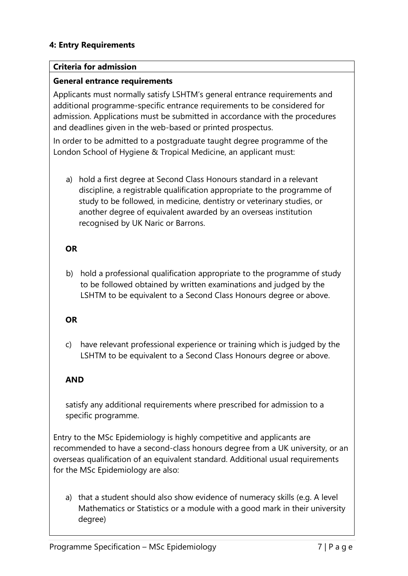# **4: Entry Requirements**

#### **Criteria for admission**

#### **General entrance requirements**

Applicants must normally satisfy LSHTM's general entrance requirements and additional programme-specific entrance requirements to be considered for admission. Applications must be submitted in accordance with the procedures and deadlines given in the web-based or printed prospectus.

In order to be admitted to a postgraduate taught degree programme of the London School of Hygiene & Tropical Medicine, an applicant must:

a) hold a first degree at Second Class Honours standard in a relevant discipline, a registrable qualification appropriate to the programme of study to be followed, in medicine, dentistry or veterinary studies, or another degree of equivalent awarded by an overseas institution recognised by UK Naric or Barrons.

## **OR**

b) hold a professional qualification appropriate to the programme of study to be followed obtained by written examinations and judged by the LSHTM to be equivalent to a Second Class Honours degree or above.

## **OR**

c) have relevant professional experience or training which is judged by the LSHTM to be equivalent to a Second Class Honours degree or above.

# **AND**

satisfy any additional requirements where prescribed for admission to a specific programme.

Entry to the MSc Epidemiology is highly competitive and applicants are recommended to have a second-class honours degree from a UK university, or an overseas qualification of an equivalent standard. Additional usual requirements for the MSc Epidemiology are also:

a) that a student should also show evidence of numeracy skills (e.g. A level Mathematics or Statistics or a module with a good mark in their university degree)